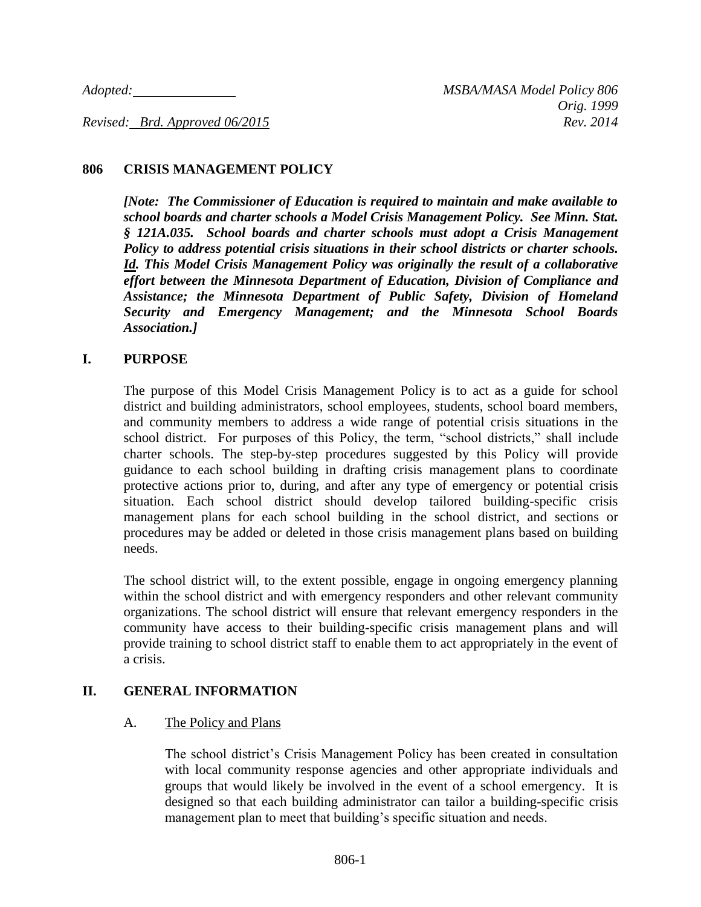#### **806 CRISIS MANAGEMENT POLICY**

*[Note: The Commissioner of Education is required to maintain and make available to school boards and charter schools a Model Crisis Management Policy. See Minn. Stat. § 121A.035. School boards and charter schools must adopt a Crisis Management Policy to address potential crisis situations in their school districts or charter schools. Id. This Model Crisis Management Policy was originally the result of a collaborative effort between the Minnesota Department of Education, Division of Compliance and Assistance; the Minnesota Department of Public Safety, Division of Homeland Security and Emergency Management; and the Minnesota School Boards Association.]*

#### **I. PURPOSE**

The purpose of this Model Crisis Management Policy is to act as a guide for school district and building administrators, school employees, students, school board members, and community members to address a wide range of potential crisis situations in the school district. For purposes of this Policy, the term, "school districts," shall include charter schools. The step-by-step procedures suggested by this Policy will provide guidance to each school building in drafting crisis management plans to coordinate protective actions prior to, during, and after any type of emergency or potential crisis situation. Each school district should develop tailored building-specific crisis management plans for each school building in the school district, and sections or procedures may be added or deleted in those crisis management plans based on building needs.

The school district will, to the extent possible, engage in ongoing emergency planning within the school district and with emergency responders and other relevant community organizations. The school district will ensure that relevant emergency responders in the community have access to their building-specific crisis management plans and will provide training to school district staff to enable them to act appropriately in the event of a crisis.

#### **II. GENERAL INFORMATION**

#### A. The Policy and Plans

The school district's Crisis Management Policy has been created in consultation with local community response agencies and other appropriate individuals and groups that would likely be involved in the event of a school emergency. It is designed so that each building administrator can tailor a building-specific crisis management plan to meet that building's specific situation and needs.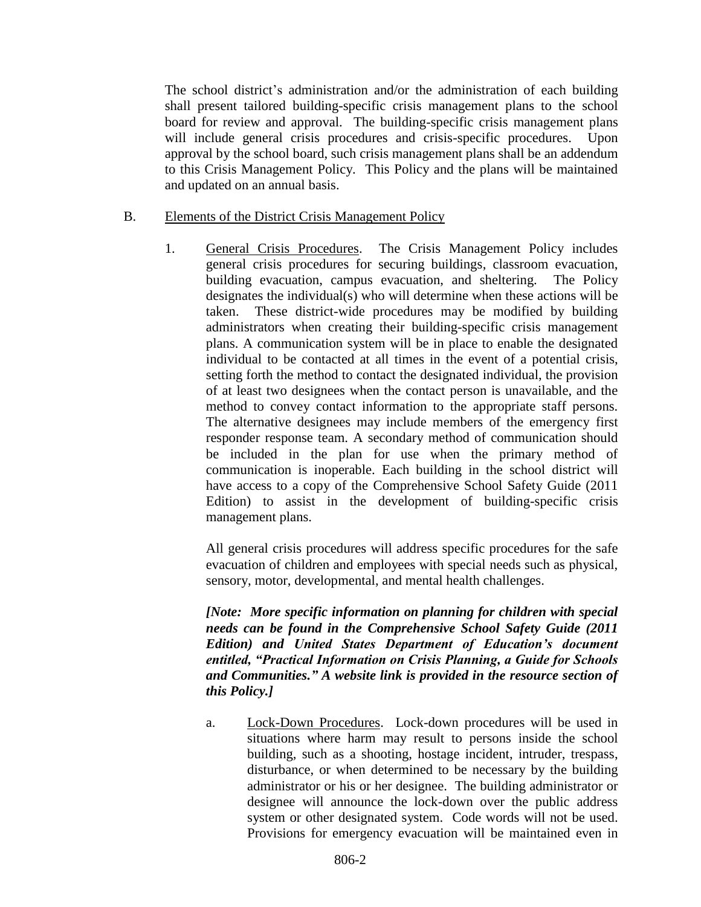The school district's administration and/or the administration of each building shall present tailored building-specific crisis management plans to the school board for review and approval. The building-specific crisis management plans will include general crisis procedures and crisis-specific procedures. Upon approval by the school board, such crisis management plans shall be an addendum to this Crisis Management Policy. This Policy and the plans will be maintained and updated on an annual basis.

- B. Elements of the District Crisis Management Policy
	- 1. General Crisis Procedures. The Crisis Management Policy includes general crisis procedures for securing buildings, classroom evacuation, building evacuation, campus evacuation, and sheltering. The Policy designates the individual(s) who will determine when these actions will be taken. These district-wide procedures may be modified by building administrators when creating their building-specific crisis management plans. A communication system will be in place to enable the designated individual to be contacted at all times in the event of a potential crisis, setting forth the method to contact the designated individual, the provision of at least two designees when the contact person is unavailable, and the method to convey contact information to the appropriate staff persons. The alternative designees may include members of the emergency first responder response team. A secondary method of communication should be included in the plan for use when the primary method of communication is inoperable. Each building in the school district will have access to a copy of the Comprehensive School Safety Guide (2011 Edition) to assist in the development of building-specific crisis management plans.

All general crisis procedures will address specific procedures for the safe evacuation of children and employees with special needs such as physical, sensory, motor, developmental, and mental health challenges.

*[Note: More specific information on planning for children with special needs can be found in the Comprehensive School Safety Guide (2011 Edition) and United States Department of Education's document entitled, "Practical Information on Crisis Planning, a Guide for Schools and Communities." A website link is provided in the resource section of this Policy.]*

a. Lock-Down Procedures. Lock-down procedures will be used in situations where harm may result to persons inside the school building, such as a shooting, hostage incident, intruder, trespass, disturbance, or when determined to be necessary by the building administrator or his or her designee. The building administrator or designee will announce the lock-down over the public address system or other designated system. Code words will not be used. Provisions for emergency evacuation will be maintained even in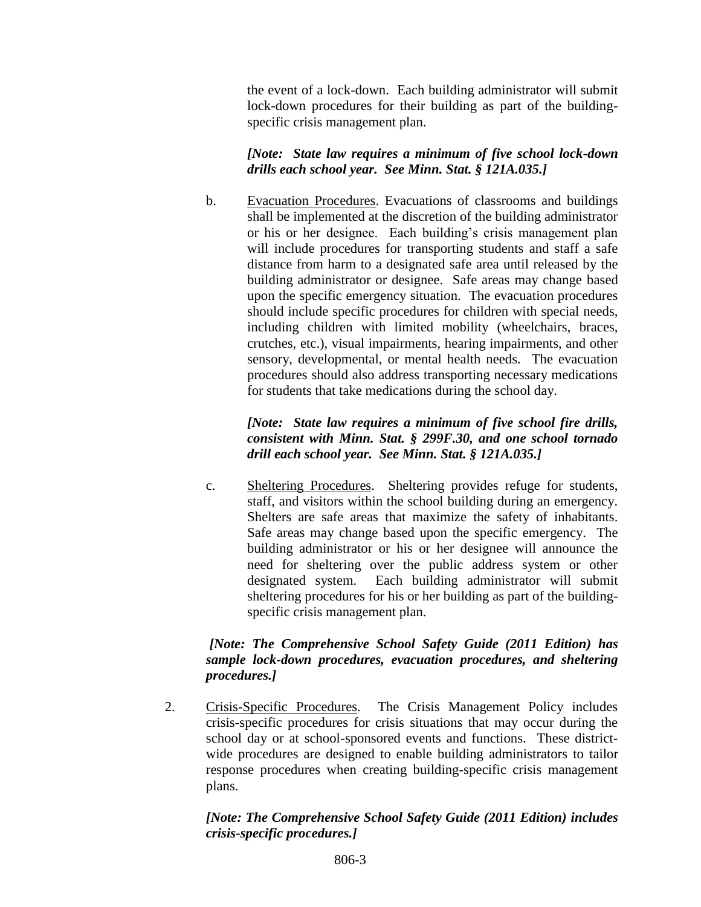the event of a lock-down. Each building administrator will submit lock-down procedures for their building as part of the buildingspecific crisis management plan.

*[Note: State law requires a minimum of five school lock-down drills each school year. See Minn. Stat. § 121A.035.]*

b. Evacuation Procedures. Evacuations of classrooms and buildings shall be implemented at the discretion of the building administrator or his or her designee. Each building's crisis management plan will include procedures for transporting students and staff a safe distance from harm to a designated safe area until released by the building administrator or designee. Safe areas may change based upon the specific emergency situation. The evacuation procedures should include specific procedures for children with special needs, including children with limited mobility (wheelchairs, braces, crutches, etc.), visual impairments, hearing impairments, and other sensory, developmental, or mental health needs. The evacuation procedures should also address transporting necessary medications for students that take medications during the school day.

## *[Note: State law requires a minimum of five school fire drills, consistent with Minn. Stat. § 299F.30, and one school tornado drill each school year. See Minn. Stat. § 121A.035.]*

c. Sheltering Procedures. Sheltering provides refuge for students, staff, and visitors within the school building during an emergency. Shelters are safe areas that maximize the safety of inhabitants. Safe areas may change based upon the specific emergency. The building administrator or his or her designee will announce the need for sheltering over the public address system or other designated system. Each building administrator will submit sheltering procedures for his or her building as part of the buildingspecific crisis management plan.

## *[Note: The Comprehensive School Safety Guide (2011 Edition) has sample lock-down procedures, evacuation procedures, and sheltering procedures.]*

2. Crisis-Specific Procedures. The Crisis Management Policy includes crisis-specific procedures for crisis situations that may occur during the school day or at school-sponsored events and functions. These districtwide procedures are designed to enable building administrators to tailor response procedures when creating building-specific crisis management plans.

## *[Note: The Comprehensive School Safety Guide (2011 Edition) includes crisis-specific procedures.]*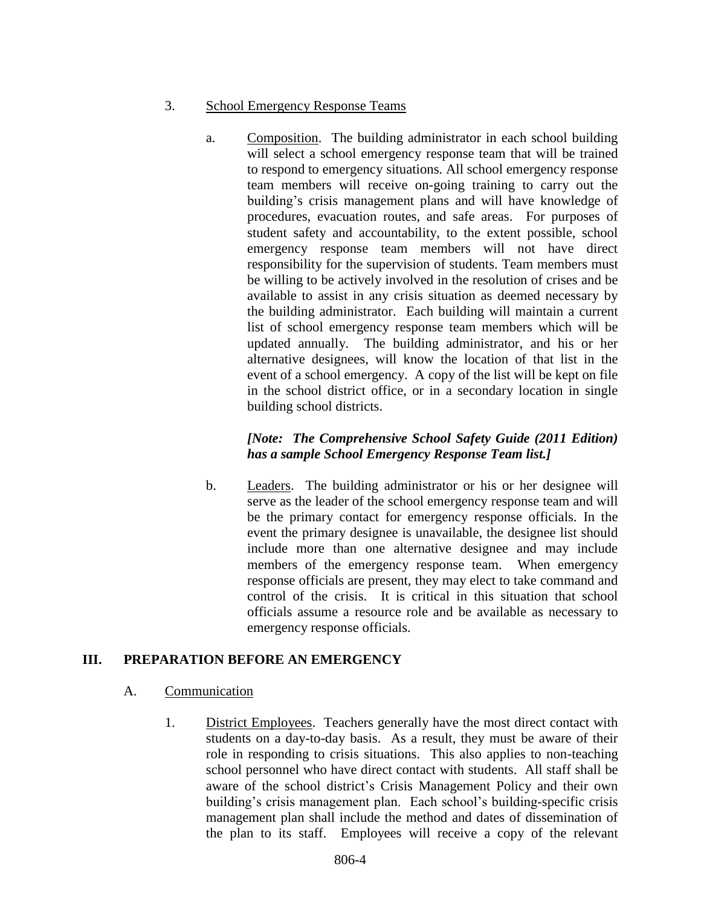- 3. School Emergency Response Teams
	- a. Composition. The building administrator in each school building will select a school emergency response team that will be trained to respond to emergency situations. All school emergency response team members will receive on-going training to carry out the building's crisis management plans and will have knowledge of procedures, evacuation routes, and safe areas. For purposes of student safety and accountability, to the extent possible, school emergency response team members will not have direct responsibility for the supervision of students. Team members must be willing to be actively involved in the resolution of crises and be available to assist in any crisis situation as deemed necessary by the building administrator. Each building will maintain a current list of school emergency response team members which will be updated annually. The building administrator, and his or her alternative designees, will know the location of that list in the event of a school emergency. A copy of the list will be kept on file in the school district office, or in a secondary location in single building school districts.

## *[Note: The Comprehensive School Safety Guide (2011 Edition) has a sample School Emergency Response Team list.]*

b. Leaders. The building administrator or his or her designee will serve as the leader of the school emergency response team and will be the primary contact for emergency response officials. In the event the primary designee is unavailable, the designee list should include more than one alternative designee and may include members of the emergency response team. When emergency response officials are present, they may elect to take command and control of the crisis. It is critical in this situation that school officials assume a resource role and be available as necessary to emergency response officials.

## **III. PREPARATION BEFORE AN EMERGENCY**

- A. Communication
	- 1. District Employees. Teachers generally have the most direct contact with students on a day-to-day basis. As a result, they must be aware of their role in responding to crisis situations. This also applies to non-teaching school personnel who have direct contact with students. All staff shall be aware of the school district's Crisis Management Policy and their own building's crisis management plan. Each school's building-specific crisis management plan shall include the method and dates of dissemination of the plan to its staff. Employees will receive a copy of the relevant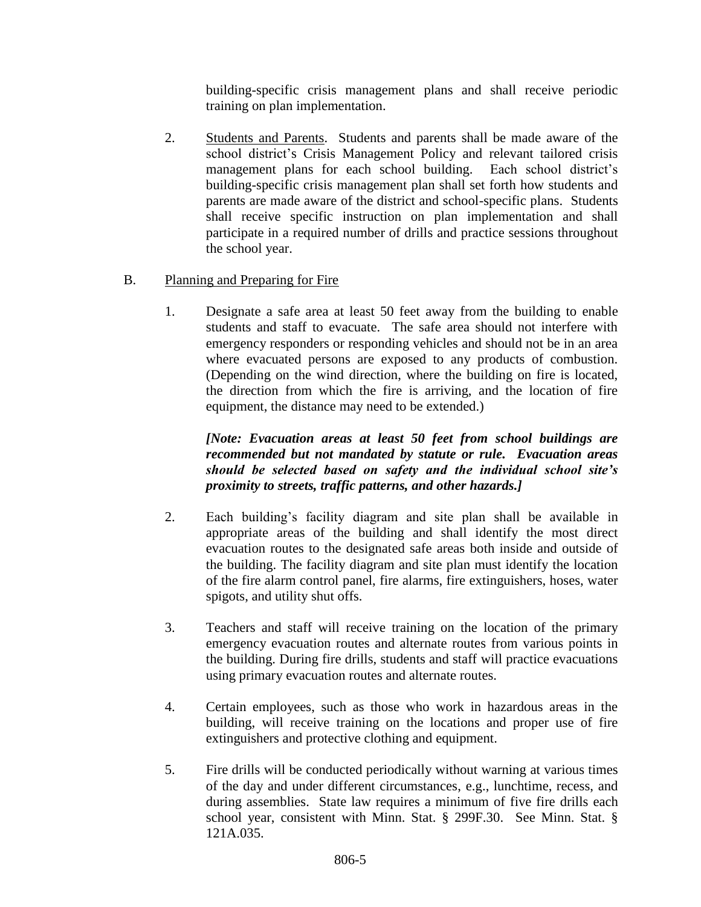building-specific crisis management plans and shall receive periodic training on plan implementation.

2. Students and Parents. Students and parents shall be made aware of the school district's Crisis Management Policy and relevant tailored crisis management plans for each school building. Each school district's building-specific crisis management plan shall set forth how students and parents are made aware of the district and school-specific plans. Students shall receive specific instruction on plan implementation and shall participate in a required number of drills and practice sessions throughout the school year.

## B. Planning and Preparing for Fire

1. Designate a safe area at least 50 feet away from the building to enable students and staff to evacuate. The safe area should not interfere with emergency responders or responding vehicles and should not be in an area where evacuated persons are exposed to any products of combustion. (Depending on the wind direction, where the building on fire is located, the direction from which the fire is arriving, and the location of fire equipment, the distance may need to be extended.)

*[Note: Evacuation areas at least 50 feet from school buildings are recommended but not mandated by statute or rule. Evacuation areas should be selected based on safety and the individual school site's proximity to streets, traffic patterns, and other hazards.]*

- 2. Each building's facility diagram and site plan shall be available in appropriate areas of the building and shall identify the most direct evacuation routes to the designated safe areas both inside and outside of the building. The facility diagram and site plan must identify the location of the fire alarm control panel, fire alarms, fire extinguishers, hoses, water spigots, and utility shut offs.
- 3. Teachers and staff will receive training on the location of the primary emergency evacuation routes and alternate routes from various points in the building. During fire drills, students and staff will practice evacuations using primary evacuation routes and alternate routes.
- 4. Certain employees, such as those who work in hazardous areas in the building, will receive training on the locations and proper use of fire extinguishers and protective clothing and equipment.
- 5. Fire drills will be conducted periodically without warning at various times of the day and under different circumstances, e.g., lunchtime, recess, and during assemblies. State law requires a minimum of five fire drills each school year, consistent with Minn. Stat. § 299F.30. See Minn. Stat. § 121A.035.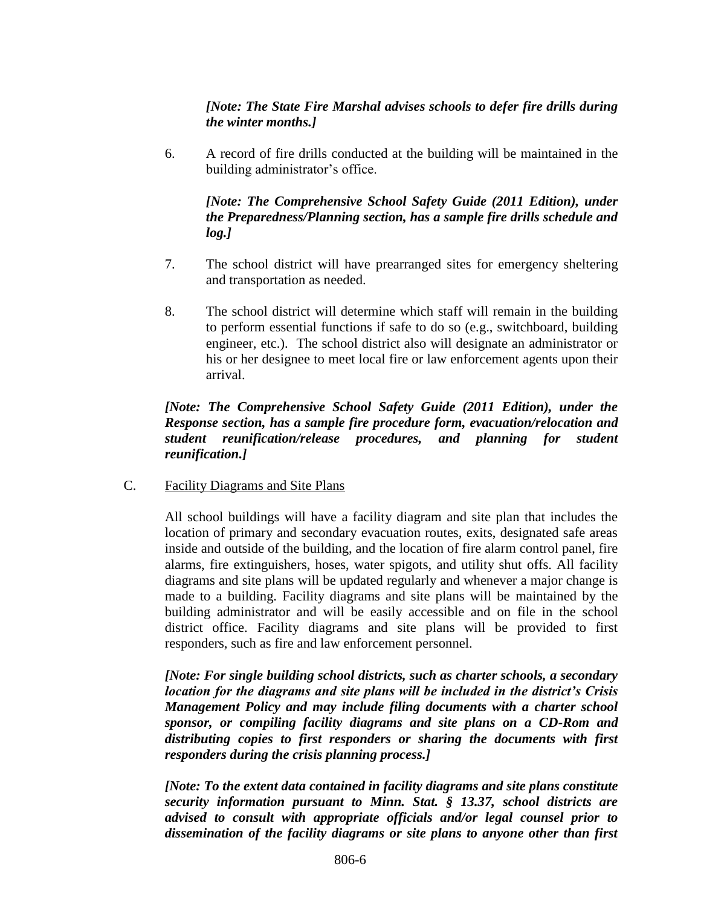## *[Note: The State Fire Marshal advises schools to defer fire drills during the winter months.]*

6. A record of fire drills conducted at the building will be maintained in the building administrator's office.

### *[Note: The Comprehensive School Safety Guide (2011 Edition), under the Preparedness/Planning section, has a sample fire drills schedule and log.]*

- 7. The school district will have prearranged sites for emergency sheltering and transportation as needed.
- 8. The school district will determine which staff will remain in the building to perform essential functions if safe to do so (e.g., switchboard, building engineer, etc.). The school district also will designate an administrator or his or her designee to meet local fire or law enforcement agents upon their arrival.

### *[Note: The Comprehensive School Safety Guide (2011 Edition), under the Response section, has a sample fire procedure form, evacuation/relocation and student reunification/release procedures, and planning for student reunification.]*

C. Facility Diagrams and Site Plans

All school buildings will have a facility diagram and site plan that includes the location of primary and secondary evacuation routes, exits, designated safe areas inside and outside of the building, and the location of fire alarm control panel, fire alarms, fire extinguishers, hoses, water spigots, and utility shut offs. All facility diagrams and site plans will be updated regularly and whenever a major change is made to a building. Facility diagrams and site plans will be maintained by the building administrator and will be easily accessible and on file in the school district office. Facility diagrams and site plans will be provided to first responders, such as fire and law enforcement personnel.

*[Note: For single building school districts, such as charter schools, a secondary location for the diagrams and site plans will be included in the district's Crisis Management Policy and may include filing documents with a charter school sponsor, or compiling facility diagrams and site plans on a CD-Rom and distributing copies to first responders or sharing the documents with first responders during the crisis planning process.]*

*[Note: To the extent data contained in facility diagrams and site plans constitute security information pursuant to Minn. Stat. § 13.37, school districts are advised to consult with appropriate officials and/or legal counsel prior to dissemination of the facility diagrams or site plans to anyone other than first*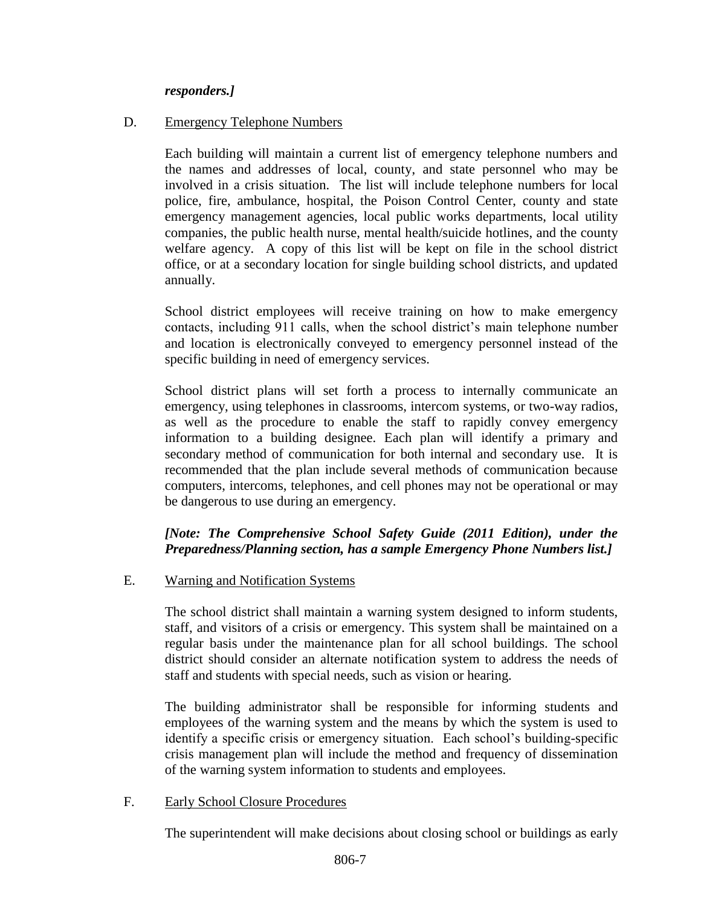#### *responders.]*

#### D. Emergency Telephone Numbers

Each building will maintain a current list of emergency telephone numbers and the names and addresses of local, county, and state personnel who may be involved in a crisis situation. The list will include telephone numbers for local police, fire, ambulance, hospital, the Poison Control Center, county and state emergency management agencies, local public works departments, local utility companies, the public health nurse, mental health/suicide hotlines, and the county welfare agency. A copy of this list will be kept on file in the school district office, or at a secondary location for single building school districts, and updated annually.

School district employees will receive training on how to make emergency contacts, including 911 calls, when the school district's main telephone number and location is electronically conveyed to emergency personnel instead of the specific building in need of emergency services.

School district plans will set forth a process to internally communicate an emergency, using telephones in classrooms, intercom systems, or two-way radios, as well as the procedure to enable the staff to rapidly convey emergency information to a building designee. Each plan will identify a primary and secondary method of communication for both internal and secondary use. It is recommended that the plan include several methods of communication because computers, intercoms, telephones, and cell phones may not be operational or may be dangerous to use during an emergency.

## *[Note: The Comprehensive School Safety Guide (2011 Edition), under the Preparedness/Planning section, has a sample Emergency Phone Numbers list.]*

#### E. Warning and Notification Systems

The school district shall maintain a warning system designed to inform students, staff, and visitors of a crisis or emergency. This system shall be maintained on a regular basis under the maintenance plan for all school buildings. The school district should consider an alternate notification system to address the needs of staff and students with special needs, such as vision or hearing.

The building administrator shall be responsible for informing students and employees of the warning system and the means by which the system is used to identify a specific crisis or emergency situation. Each school's building-specific crisis management plan will include the method and frequency of dissemination of the warning system information to students and employees.

#### F. Early School Closure Procedures

The superintendent will make decisions about closing school or buildings as early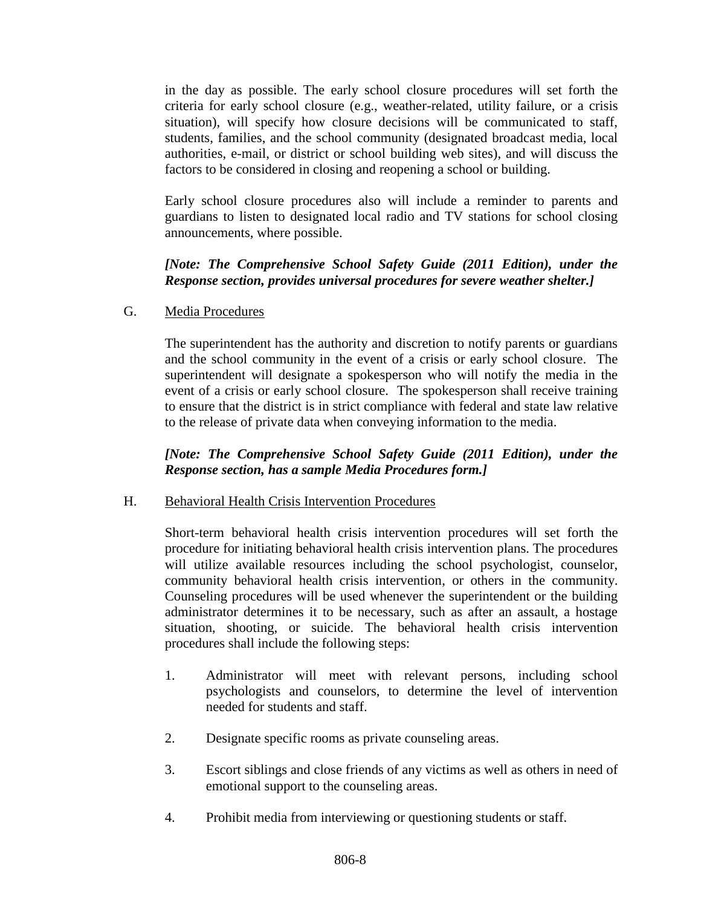in the day as possible. The early school closure procedures will set forth the criteria for early school closure (e.g., weather-related, utility failure, or a crisis situation), will specify how closure decisions will be communicated to staff, students, families, and the school community (designated broadcast media, local authorities, e-mail, or district or school building web sites), and will discuss the factors to be considered in closing and reopening a school or building.

Early school closure procedures also will include a reminder to parents and guardians to listen to designated local radio and TV stations for school closing announcements, where possible.

## *[Note: The Comprehensive School Safety Guide (2011 Edition), under the Response section, provides universal procedures for severe weather shelter.]*

G. Media Procedures

The superintendent has the authority and discretion to notify parents or guardians and the school community in the event of a crisis or early school closure. The superintendent will designate a spokesperson who will notify the media in the event of a crisis or early school closure. The spokesperson shall receive training to ensure that the district is in strict compliance with federal and state law relative to the release of private data when conveying information to the media.

## *[Note: The Comprehensive School Safety Guide (2011 Edition), under the Response section, has a sample Media Procedures form.]*

## H. Behavioral Health Crisis Intervention Procedures

Short-term behavioral health crisis intervention procedures will set forth the procedure for initiating behavioral health crisis intervention plans. The procedures will utilize available resources including the school psychologist, counselor, community behavioral health crisis intervention, or others in the community. Counseling procedures will be used whenever the superintendent or the building administrator determines it to be necessary, such as after an assault, a hostage situation, shooting, or suicide. The behavioral health crisis intervention procedures shall include the following steps:

- 1. Administrator will meet with relevant persons, including school psychologists and counselors, to determine the level of intervention needed for students and staff.
- 2. Designate specific rooms as private counseling areas.
- 3. Escort siblings and close friends of any victims as well as others in need of emotional support to the counseling areas.
- 4. Prohibit media from interviewing or questioning students or staff.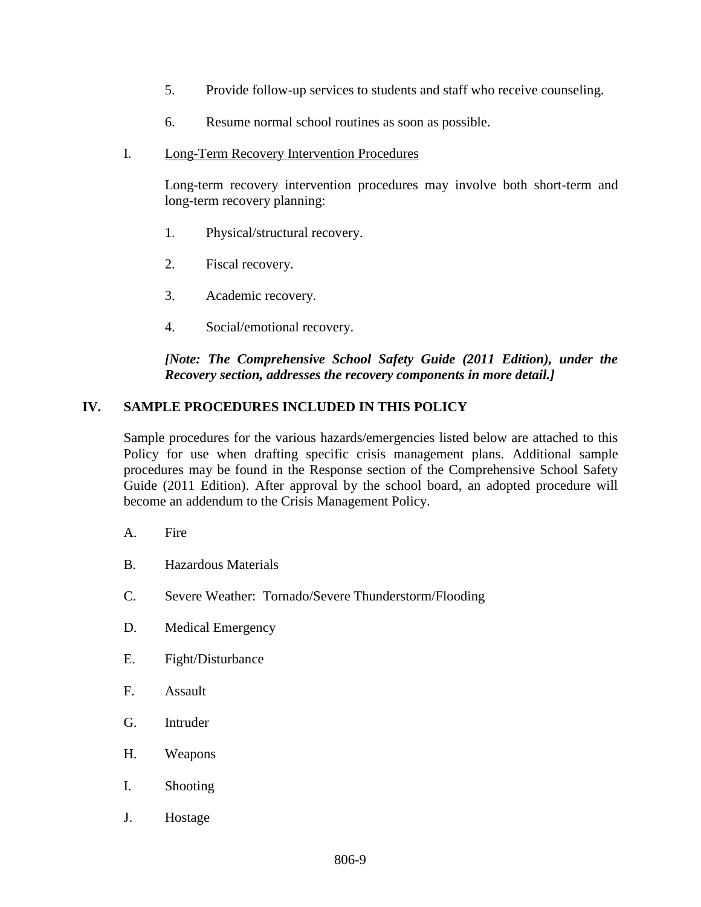- 5. Provide follow-up services to students and staff who receive counseling.
- 6. Resume normal school routines as soon as possible.
- I. Long-Term Recovery Intervention Procedures

Long-term recovery intervention procedures may involve both short-term and long-term recovery planning:

- 1. Physical/structural recovery.
- 2. Fiscal recovery.
- 3. Academic recovery.
- 4. Social/emotional recovery.

#### *[Note: The Comprehensive School Safety Guide (2011 Edition), under the Recovery section, addresses the recovery components in more detail.]*

## **IV. SAMPLE PROCEDURES INCLUDED IN THIS POLICY**

Sample procedures for the various hazards/emergencies listed below are attached to this Policy for use when drafting specific crisis management plans. Additional sample procedures may be found in the Response section of the Comprehensive School Safety Guide (2011 Edition). After approval by the school board, an adopted procedure will become an addendum to the Crisis Management Policy.

- A. Fire
- B. Hazardous Materials
- C. Severe Weather: Tornado/Severe Thunderstorm/Flooding
- D. Medical Emergency
- E. Fight/Disturbance
- F. Assault
- G. Intruder
- H. Weapons
- I. Shooting
- J. Hostage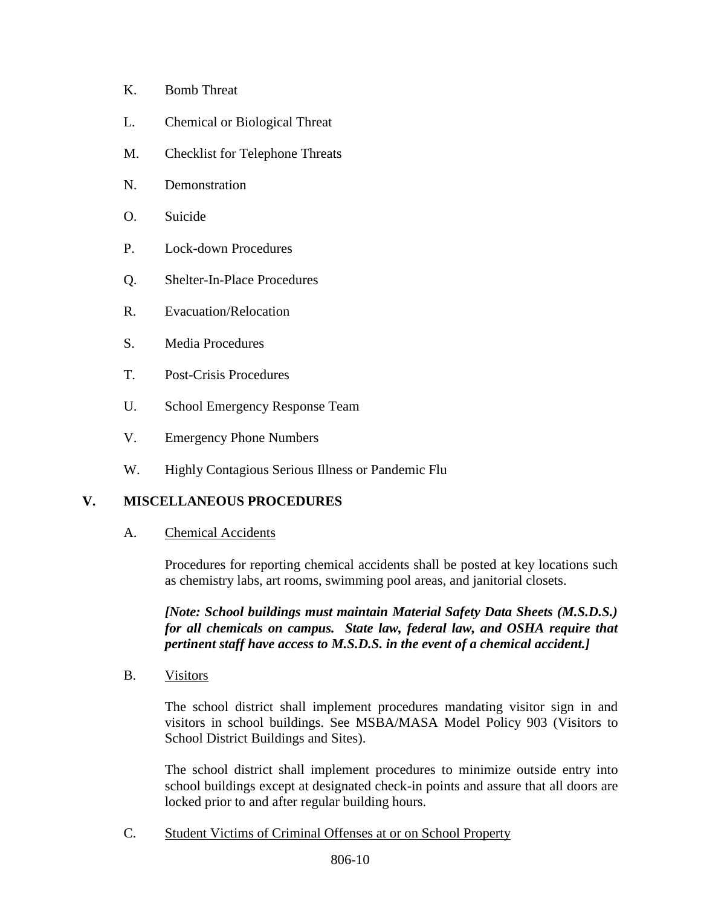- K. Bomb Threat
- L. Chemical or Biological Threat
- M. Checklist for Telephone Threats
- N. Demonstration
- O. Suicide
- P. Lock-down Procedures
- Q. Shelter-In-Place Procedures
- R. Evacuation/Relocation
- S. Media Procedures
- T. Post-Crisis Procedures
- U. School Emergency Response Team
- V. Emergency Phone Numbers
- W. Highly Contagious Serious Illness or Pandemic Flu

# **V. MISCELLANEOUS PROCEDURES**

A. Chemical Accidents

Procedures for reporting chemical accidents shall be posted at key locations such as chemistry labs, art rooms, swimming pool areas, and janitorial closets.

*[Note: School buildings must maintain Material Safety Data Sheets (M.S.D.S.) for all chemicals on campus. State law, federal law, and OSHA require that pertinent staff have access to M.S.D.S. in the event of a chemical accident.]*

B. Visitors

The school district shall implement procedures mandating visitor sign in and visitors in school buildings. See MSBA/MASA Model Policy 903 (Visitors to School District Buildings and Sites).

The school district shall implement procedures to minimize outside entry into school buildings except at designated check-in points and assure that all doors are locked prior to and after regular building hours.

C. Student Victims of Criminal Offenses at or on School Property